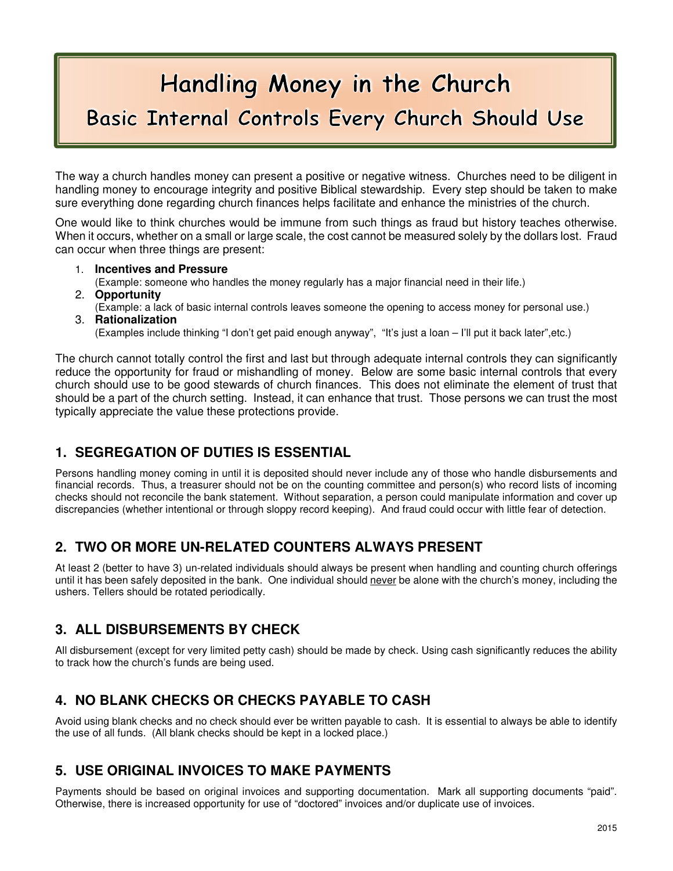# Handling Money in the Church Basic Internal Controls Every Church Should Use

The way a church handles money can present a positive or negative witness. Churches need to be diligent in handling money to encourage integrity and positive Biblical stewardship. Every step should be taken to make sure everything done regarding church finances helps facilitate and enhance the ministries of the church.

One would like to think churches would be immune from such things as fraud but history teaches otherwise. When it occurs, whether on a small or large scale, the cost cannot be measured solely by the dollars lost. Fraud can occur when three things are present:

- 1. **Incentives and Pressure**
- (Example: someone who handles the money regularly has a major financial need in their life.)
- 2. **Opportunity**
- (Example: a lack of basic internal controls leaves someone the opening to access money for personal use.)
- 3. **Rationalization**

(Examples include thinking "I don't get paid enough anyway", "It's just a loan – I'll put it back later",etc.)

The church cannot totally control the first and last but through adequate internal controls they can significantly reduce the opportunity for fraud or mishandling of money. Below are some basic internal controls that every church should use to be good stewards of church finances. This does not eliminate the element of trust that should be a part of the church setting. Instead, it can enhance that trust. Those persons we can trust the most typically appreciate the value these protections provide.

## **1. SEGREGATION OF DUTIES IS ESSENTIAL**

Persons handling money coming in until it is deposited should never include any of those who handle disbursements and financial records. Thus, a treasurer should not be on the counting committee and person(s) who record lists of incoming checks should not reconcile the bank statement. Without separation, a person could manipulate information and cover up discrepancies (whether intentional or through sloppy record keeping). And fraud could occur with little fear of detection.

## **2. TWO OR MORE UN-RELATED COUNTERS ALWAYS PRESENT**

At least 2 (better to have 3) un-related individuals should always be present when handling and counting church offerings until it has been safely deposited in the bank. One individual should never be alone with the church's money, including the ushers. Tellers should be rotated periodically.

## **3. ALL DISBURSEMENTS BY CHECK**

All disbursement (except for very limited petty cash) should be made by check. Using cash significantly reduces the ability to track how the church's funds are being used.

## **4. NO BLANK CHECKS OR CHECKS PAYABLE TO CASH**

Avoid using blank checks and no check should ever be written payable to cash. It is essential to always be able to identify the use of all funds. (All blank checks should be kept in a locked place.)

## **5. USE ORIGINAL INVOICES TO MAKE PAYMENTS**

Payments should be based on original invoices and supporting documentation. Mark all supporting documents "paid". Otherwise, there is increased opportunity for use of "doctored" invoices and/or duplicate use of invoices.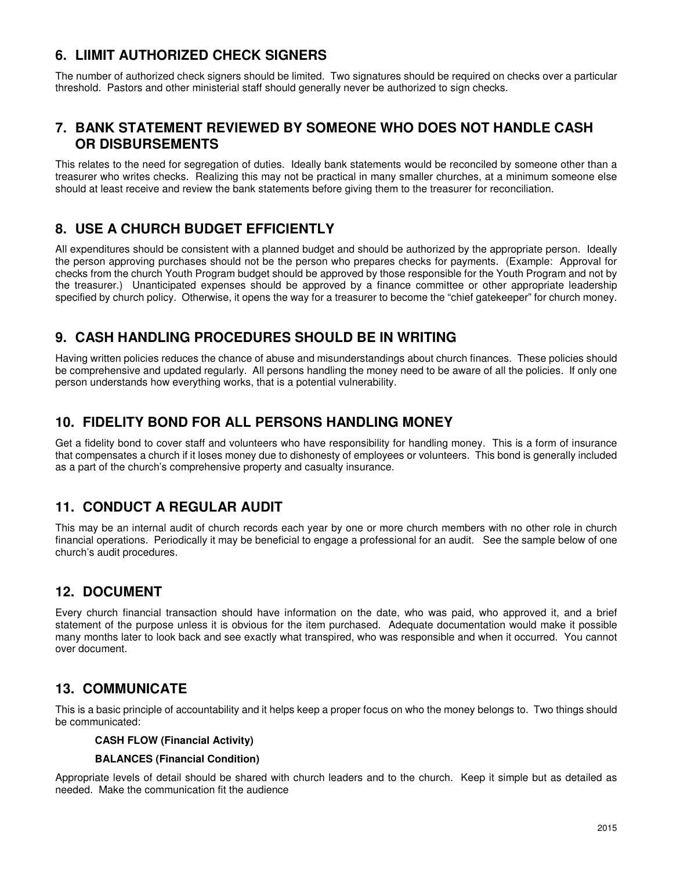## **6. LIIMIT AUTHORIZED CHECK SIGNERS**

The number of authorized check signers should be limited. Two signatures should be required on checks over a particular threshold. Pastors and other ministerial staff should generally never be authorized to sign checks.

## **7. BANK STATEMENT REVIEWED BY SOMEONE WHO DOES NOT HANDLE CASH OR DISBURSEMENTS**

This relates to the need for segregation of duties. Ideally bank statements would be reconciled by someone other than a treasurer who writes checks. Realizing this may not be practical in many smaller churches, at a minimum someone else should at least receive and review the bank statements before giving them to the treasurer for reconciliation.

## **8. USE A CHURCH BUDGET EFFICIENTLY**

All expenditures should be consistent with a planned budget and should be authorized by the appropriate person. Ideally the person approving purchases should not be the person who prepares checks for payments. (Example: Approval for checks from the church Youth Program budget should be approved by those responsible for the Youth Program and not by the treasurer.) Unanticipated expenses should be approved by a finance committee or other appropriate leadership specified by church policy. Otherwise, it opens the way for a treasurer to become the "chief gatekeeper" for church money.

## **9. CASH HANDLING PROCEDURES SHOULD BE IN WRITING**

Having written policies reduces the chance of abuse and misunderstandings about church finances. These policies should be comprehensive and updated regularly. All persons handling the money need to be aware of all the policies. If only one person understands how everything works, that is a potential vulnerability.

## **10. FIDELITY BOND FOR ALL PERSONS HANDLING MONEY**

Get a fidelity bond to cover staff and volunteers who have responsibility for handling money. This is a form of insurance that compensates a church if it loses money due to dishonesty of employees or volunteers. This bond is generally included as a part of the church's comprehensive property and casualty insurance.

## **11. CONDUCT A REGULAR AUDIT**

This may be an internal audit of church records each year by one or more church members with no other role in church financial operations. Periodically it may be beneficial to engage a professional for an audit. See the sample below of one church's audit procedures.

## **12. DOCUMENT**

Every church financial transaction should have information on the date, who was paid, who approved it, and a brief statement of the purpose unless it is obvious for the item purchased. Adequate documentation would make it possible many months later to look back and see exactly what transpired, who was responsible and when it occurred. You cannot over document.

## **13. COMMUNICATE**

This is a basic principle of accountability and it helps keep a proper focus on who the money belongs to. Two things should be communicated:

#### **CASH FLOW (Financial Activity)**

#### **BALANCES (Financial Condition)**

Appropriate levels of detail should be shared with church leaders and to the church. Keep it simple but as detailed as needed. Make the communication fit the audience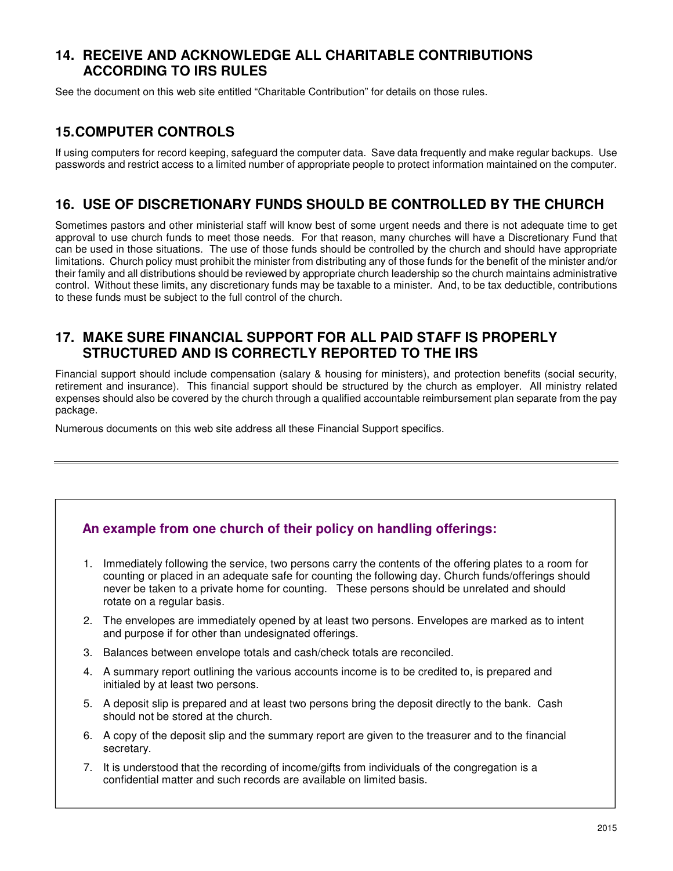## **14. RECEIVE AND ACKNOWLEDGE ALL CHARITABLE CONTRIBUTIONS ACCORDING TO IRS RULES**

See the document on this web site entitled "Charitable Contribution" for details on those rules.

## **15. COMPUTER CONTROLS**

If using computers for record keeping, safeguard the computer data. Save data frequently and make regular backups. Use passwords and restrict access to a limited number of appropriate people to protect information maintained on the computer.

## **16. USE OF DISCRETIONARY FUNDS SHOULD BE CONTROLLED BY THE CHURCH**

Sometimes pastors and other ministerial staff will know best of some urgent needs and there is not adequate time to get approval to use church funds to meet those needs. For that reason, many churches will have a Discretionary Fund that can be used in those situations. The use of those funds should be controlled by the church and should have appropriate limitations. Church policy must prohibit the minister from distributing any of those funds for the benefit of the minister and/or their family and all distributions should be reviewed by appropriate church leadership so the church maintains administrative control. Without these limits, any discretionary funds may be taxable to a minister. And, to be tax deductible, contributions to these funds must be subject to the full control of the church.

## **17. MAKE SURE FINANCIAL SUPPORT FOR ALL PAID STAFF IS PROPERLY STRUCTURED AND IS CORRECTLY REPORTED TO THE IRS**

Financial support should include compensation (salary & housing for ministers), and protection benefits (social security, retirement and insurance). This financial support should be structured by the church as employer. All ministry related expenses should also be covered by the church through a qualified accountable reimbursement plan separate from the pay package.

Numerous documents on this web site address all these Financial Support specifics.

## **An example from one church of their policy on handling offerings:**

- 1. Immediately following the service, two persons carry the contents of the offering plates to a room for counting or placed in an adequate safe for counting the following day. Church funds/offerings should never be taken to a private home for counting. These persons should be unrelated and should rotate on a regular basis.
- 2. The envelopes are immediately opened by at least two persons. Envelopes are marked as to intent and purpose if for other than undesignated offerings.
- 3. Balances between envelope totals and cash/check totals are reconciled.
- 4. A summary report outlining the various accounts income is to be credited to, is prepared and initialed by at least two persons.
- 5. A deposit slip is prepared and at least two persons bring the deposit directly to the bank. Cash should not be stored at the church.
- 6. A copy of the deposit slip and the summary report are given to the treasurer and to the financial secretary.
- 7. It is understood that the recording of income/gifts from individuals of the congregation is a confidential matter and such records are available on limited basis.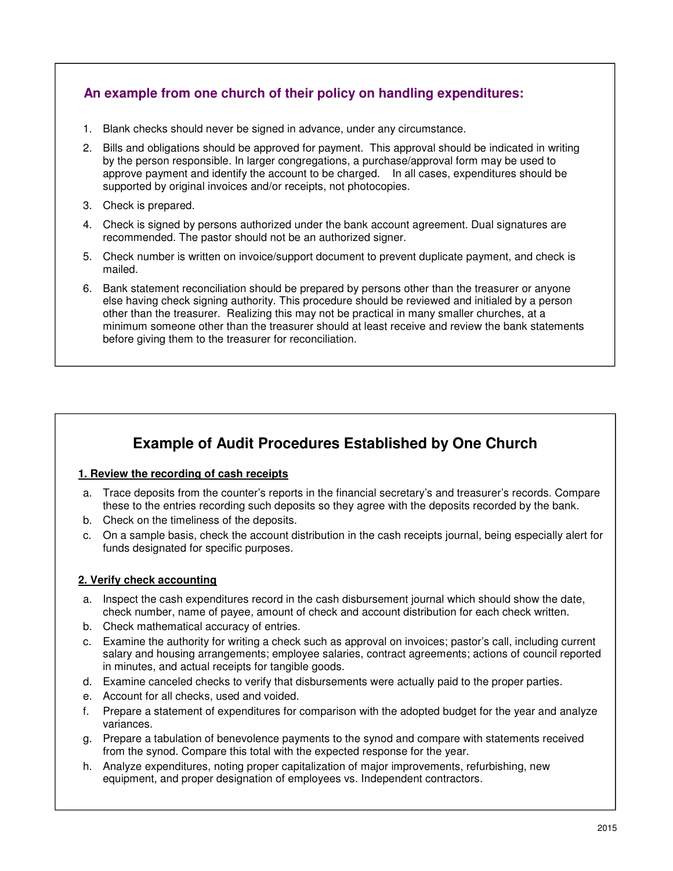## **An example from one church of their policy on handling expenditures:**

- 1. Blank checks should never be signed in advance, under any circumstance.
- 2. Bills and obligations should be approved for payment. This approval should be indicated in writing by the person responsible. In larger congregations, a purchase/approval form may be used to approve payment and identify the account to be charged. In all cases, expenditures should be supported by original invoices and/or receipts, not photocopies.
- 3. Check is prepared.
- 4. Check is signed by persons authorized under the bank account agreement. Dual signatures are recommended. The pastor should not be an authorized signer.
- 5. Check number is written on invoice/support document to prevent duplicate payment, and check is mailed.
- 6. Bank statement reconciliation should be prepared by persons other than the treasurer or anyone else having check signing authority. This procedure should be reviewed and initialed by a person other than the treasurer. Realizing this may not be practical in many smaller churches, at a minimum someone other than the treasurer should at least receive and review the bank statements before giving them to the treasurer for reconciliation.

## **Example of Audit Procedures Established by One Church**

#### **1. Review the recording of cash receipts**

- a. Trace deposits from the counter's reports in the financial secretary's and treasurer's records. Compare these to the entries recording such deposits so they agree with the deposits recorded by the bank.
- b. Check on the timeliness of the deposits.
- c. On a sample basis, check the account distribution in the cash receipts journal, being especially alert for funds designated for specific purposes.

#### **2. Verify check accounting**

- a. Inspect the cash expenditures record in the cash disbursement journal which should show the date, check number, name of payee, amount of check and account distribution for each check written.
- b. Check mathematical accuracy of entries.
- c. Examine the authority for writing a check such as approval on invoices; pastor's call, including current salary and housing arrangements; employee salaries, contract agreements; actions of council reported in minutes, and actual receipts for tangible goods.
- d. Examine canceled checks to verify that disbursements were actually paid to the proper parties.
- e. Account for all checks, used and voided.
- f. Prepare a statement of expenditures for comparison with the adopted budget for the year and analyze variances.
- g. Prepare a tabulation of benevolence payments to the synod and compare with statements received from the synod. Compare this total with the expected response for the year.
- h. Analyze expenditures, noting proper capitalization of major improvements, refurbishing, new equipment, and proper designation of employees vs. Independent contractors.